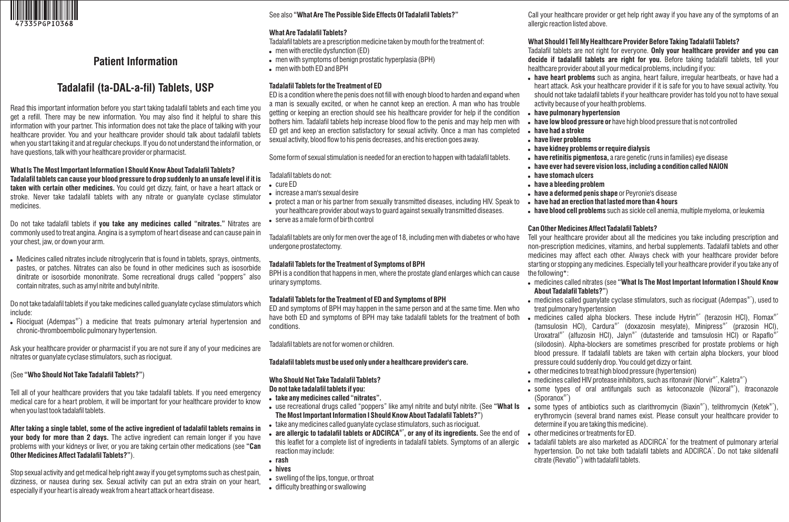

# **Patient Information**

# **Tadalafil (ta-DAL-a-fil) Tablets, USP**

Read this important information before you start taking tadalafil tablets and each time you get a refill. There may be new information. You may also find it helpful to share this information with your partner. This information does not take the place of talking with your healthcare provider. You and your healthcare provider should talk about tadalafil tablets when you start taking it and at regular checkups. If you do not understand the information, or have questions, talk with your healthcare provider or pharmacist.

#### **What Is The Most Important Information I Should Know About Tadalafil Tablets? Tadalafil tablets can cause your blood pressure to drop suddenly to an unsafe level if it is taken with certain other medicines.** You could get dizzy, faint, or have a heart attack or stroke. Never take tadalafil tablets with any nitrate or guanylate cyclase stimulator medicines.

Do not take tadalafil tablets if **you take any medicines called "nitrates."** Nitrates are commonly used to treat angina. Angina is a symptom of heart disease and can cause pain in your chest, jaw, or down your arm.

 Medicines called nitrates include nitroglycerin that is found in tablets, sprays, ointments, pastes, or patches. Nitrates can also be found in other medicines such as isosorbide dinitrate or isosorbide mononitrate. Some recreational drugs called "poppers" also contain nitrates, such as amyl nitrite and butyl nitrite.

Do not take tadalafil tablets if you take medicines called guanylate cyclase stimulators which include:

 $\bullet$  Riociguat (Adempas®\*) a medicine that treats pulmonary arterial hypertension and chronic-thromboembolic pulmonary hypertension.

Ask your healthcare provider or pharmacist if you are not sure if any of your medicines are nitrates or guanylate cyclase stimulators, such as riociguat.

## (See **"Who Should Not Take Tadalafil Tablets?"**)

Tell all of your healthcare providers that you take tadalafil tablets. If you need emergency medical care for a heart problem, it will be important for your healthcare provider to know when you last took tadalafil tablets.

**After taking a single tablet, some of the active ingredient of tadalafil tablets remains in your body for more than 2 days.** The active ingredient can remain longer if you have problems with your kidneys or liver, or you are taking certain other medications (see **"Can Other Medicines Affect Tadalafil Tablets?"**).

Stop sexual activity and get medical help right away if you get symptoms such as chest pain, dizziness, or nausea during sex. Sexual activity can put an extra strain on your heart, especially if your heart is already weak from a heart attack or heart disease.

# See also **"What Are The Possible Side Effects Of Tadalafil Tablets?"**

### **What Are Tadalafil Tablets?**

- Tadalafil tablets are a prescription medicine taken by mouth for the treatment of: men with erectile dysfunction (ED)
- men with symptoms of benign prostatic hyperplasia (BPH)
- men with both ED and BPH

## **Tadalafil Tablets for the Treatment of ED**

ED is a condition where the penis does not fill with enough blood to harden and expand when a man is sexually excited, or when he cannot keep an erection. A man who has trouble getting or keeping an erection should see his healthcare provider for help if the condition bothers him. Tadalafil tablets help increase blood flow to the penis and may help men with ED get and keep an erection satisfactory for sexual activity. Once a man has completed sexual activity, blood flow to his penis decreases, and his erection goes away.

Some form of sexual stimulation is needed for an erection to happen with tadalafil tablets.

# Tadalafil tablets do not:

- cure ED
- increase a man's sexual desire
- protect a man or his partner from sexually transmitted diseases, including HIV. Speak to your healthcare provider about ways to guard against sexually transmitted diseases.
- serve as a male form of birth control

Tadalafil tablets are only for men over the age of 18, including men with diabetes or who have undergone prostatectomy.

## **Tadalafil Tablets for the Treatment of Symptoms of BPH**

BPH is a condition that happens in men, where the prostate gland enlarges which can cause urinary symptoms.

## **Tadalafil Tablets for the Treatment of ED and Symptoms of BPH**

ED and symptoms of BPH may happen in the same person and at the same time. Men who have both ED and symptoms of BPH may take tadalafil tablets for the treatment of both conditions.

Tadalafil tablets are not for women or children.

## **Tadalafil tablets must be used only under a healthcare provider's care.**

# **Who Should Not Take Tadalafil Tablets?**

### **Do not take tadalafil tablets if you:**

- **take any medicines called "nitrates".**
- **The Most Important Information I Should Know About Tadalafil Tablets?"**)
- take any medicines called guanylate cyclase stimulators, such as riociguat.
- **are allergic to tadalafil tablets or ADCIRCA<sup>®\*</sup>, or any of its ingredients. See the end of** this leaflet for a complete list of ingredients in tadalafil tablets. Symptoms of an allergic reaction may include:
- **rash**
- **hives**
- swelling of the lips, tongue, or throat
- difficulty breathing or swallowing

Call your healthcare provider or get help right away if you have any of the symptoms of an allergic reaction listed above.

### **What Should I Tell My Healthcare Provider Before Taking Tadalafil Tablets?**

Tadalafil tablets are not right for everyone. **Only your healthcare provider and you can decide if tadalafil tablets are right for you.** Before taking tadalafil tablets, tell your healthcare provider about all your medical problems, including if you:

- **have heart problems** such as angina, heart failure, irregular heartbeats, or have had a heart attack. Ask your healthcare provider if it is safe for you to have sexual activity. You should not take tadalafil tablets if your healthcare provider has told you not to have sexual activity because of your health problems.
- **have pulmonary hypertension**
- **have low blood pressure or** have high blood pressure that is not controlled
- **have had a stroke**
- **have liver problems**
- **have kidney problems or require dialysis**
- **have retinitis pigmentosa,** a rare genetic (runs in families) eye disease
- **have ever had severe vision loss, including a condition called NAION**
- **have stomach ulcers**
- **have a bleeding problem**
- **have a deformed penis shape** or Peyronie's disease
- **have had an erection that lasted more than 4 hours**
- **have blood cell problems** such as sickle cell anemia, multiple myeloma, or leukemia

## **Can Other Medicines Affect Tadalafil Tablets?**

Tell your healthcare provider about all the medicines you take including prescription and non-prescription medicines, vitamins, and herbal supplements. Tadalafil tablets and other medicines may affect each other. Always check with your healthcare provider before starting or stopping any medicines. Especially tell your healthcare provider if you take any of the following\*:

- medicines called nitrates (see **"What Is The Most Important Information I Should Know About Tadalafil Tablets?"**)
- $\bullet \,$  medicines called guanylate cyclase stimulators, such as riociguat (Adempas $^{\circ\circ}$ ), used to treat pulmonary hypertension
- $\bullet$ medicines called alpha blockers. These include Hytrin<sup>®\*</sup> (terazosin HCl), Flomax<sup>®\*</sup> (tamsulosin HCl), Cardura<sup>®\*</sup> (doxazosin mesylate), Minipress<sup>®\*</sup> (prazosin HCl), Uroxatral®\* (alfuzosin HCl), Jalyn®\* (dutasteride and tamsulosin HCl) or Rapaflo®\* (silodosin). Alpha-blockers are sometimes prescribed for prostate problems or high blood pressure. If tadalafil tablets are taken with certain alpha blockers, your blood pressure could suddenly drop. You could get dizzy or faint.
- other medicines to treat high blood pressure (hypertension)
- $\bullet \;$  medicines called HIV protease inhibitors, such as ritonavir (Norvir $^{\circ\circ}$ , Kaletra $^{\circ\circ}$ )
- $\bullet$  some types of oral antifungals such as ketoconazole (Nizoral®\*), itraconazole  $(Sporano x^{\circ})$
- use recreational drugs called "poppers" like amyl nitrite and butyl nitrite. (See **"What Is •** some types of antibiotics such as clarithromycin (Biaxin®\*), telithromycin (Ketek®\*), erythromycin (several brand names exist. Please consult your healthcare provider to determine if you are taking this medicine).
	- other medicines or treatments for ED.
	- $\bullet$ tadalafil tablets are also marketed as ADCIRCA<sup>\*</sup> for the treatment of pulmonary arterial hypertension. Do not take both tadalafil tablets and ADCIRCA<sup>\*</sup>. Do not take sildenafil  $citrate$  (Revatio $^*$ ) with tadalafil tablets.